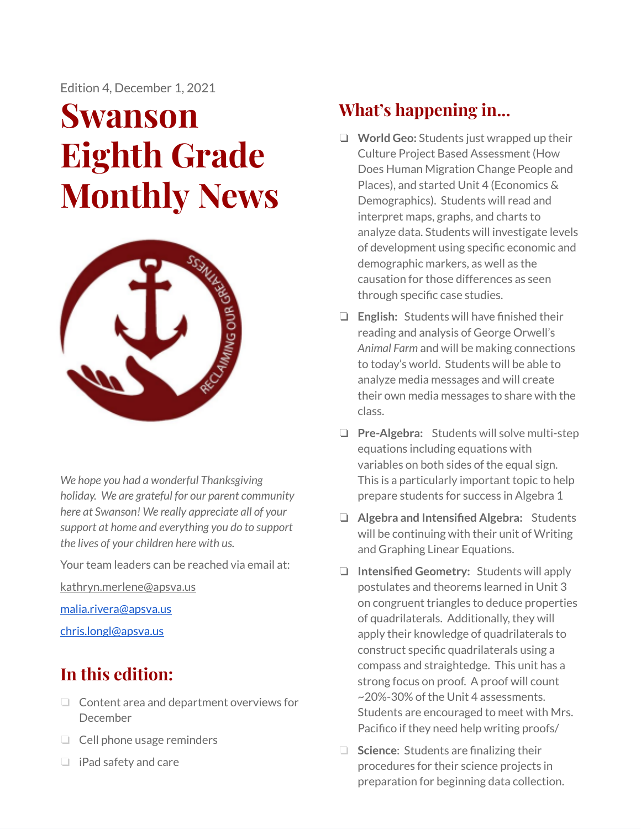Edition 4, December 1, 2021

# **Swanson Eighth Grade Monthly News**



*We hope you had a wonderful Thanksgiving holiday. We are grateful for our parent community here at Swanson! We really appreciate all of your support at home and everything you do to support the lives of your children here with us.*

Your team leaders can be reached via email at:

[kathryn.merlene@apsva.us](mailto:kathryn.merlene@apsva.us)

[malia.rivera@apsva.us](mailto:malia.rivera@apsva.us)

[chris.longl@apsva.us](mailto:chris.longl@apsva.us)

# **In this edition:**

- ❏ Content area and department overviews for December
- ❏ Cell phone usage reminders
- ❏ iPad safety and care

# **What's happening in...**

- ❏ **World Geo:** Students just wrapped up their Culture Project Based Assessment (How Does Human Migration Change People and Places), and started Unit 4 (Economics & Demographics). Students will read and interpret maps, graphs, and charts to analyze data. Students will investigate levels of development using specific economic and demographic markers, as well as the causation for those differences as seen through specific case studies.
- ❏ **English:** Students will have finished their reading and analysis of George Orwell's *Animal Farm* and will be making connections to today's world. Students will be able to analyze media messages and will create their own media messages to share with the class.
- ❏ **Pre-Algebra:** Students will solve multi-step equations including equations with variables on both sides of the equal sign. This is a particularly important topic to help prepare students for success in Algebra 1
- ❏ **Algebra and Intensified Algebra:** Students will be continuing with their unit of Writing and Graphing Linear Equations.
- ❏ **Intensified Geometry:** Students will apply postulates and theorems learned in Unit 3 on congruent triangles to deduce properties of quadrilaterals. Additionally, they will apply their knowledge of quadrilaterals to construct specific quadrilaterals using a compass and straightedge. This unit has a strong focus on proof. A proof will count ~20%-30% of the Unit 4 assessments. Students are encouraged to meet with Mrs. Pacifico if they need help writing proofs/
- ❏ **Science**: Students are finalizing their procedures for their science projects in preparation for beginning data collection.